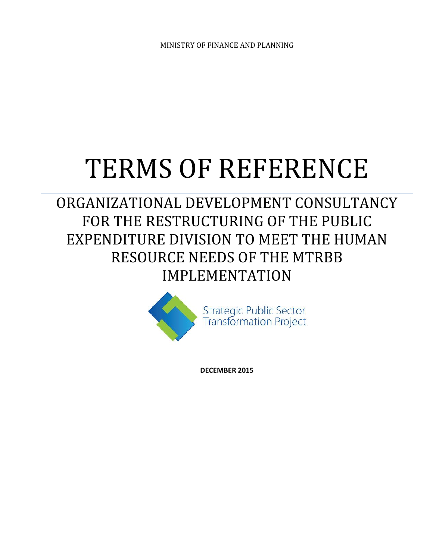MINISTRY OF FINANCE AND PLANNING

# TERMS OF REFERENCE

ORGANIZATIONAL DEVELOPMENT CONSULTANCY FOR THE RESTRUCTURING OF THE PUBLIC EXPENDITURE DIVISION TO MEET THE HUMAN RESOURCE NEEDS OF THE MTRBB IMPLEMENTATION



**Strategic Public Sector Transformation Project** 

**DECEMBER 2015**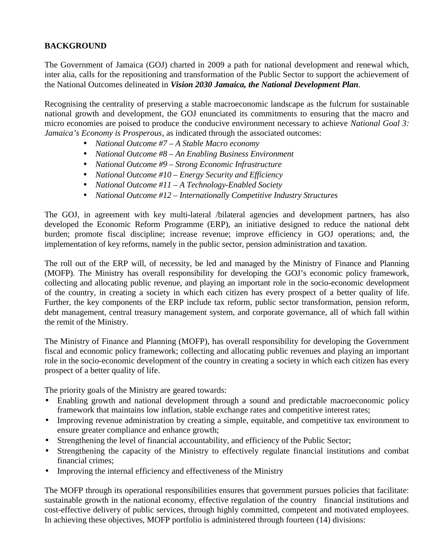# **BACKGROUND**

The Government of Jamaica (GOJ) charted in 2009 a path for national development and renewal which, inter alia, calls for the repositioning and transformation of the Public Sector to support the achievement of the National Outcomes delineated in *Vision 2030 Jamaica, the National Development Plan*.

Recognising the centrality of preserving a stable macroeconomic landscape as the fulcrum for sustainable national growth and development, the GOJ enunciated its commitments to ensuring that the macro and micro economies are poised to produce the conducive environment necessary to achieve *National Goal 3: Jamaica's Economy is Prosperous*, as indicated through the associated outcomes:

- *National Outcome #7 – A Stable Macro economy*
- *National Outcome #8 – An Enabling Business Environment*
- *National Outcome #9 – Strong Economic Infrastructure*
- *National Outcome #10 – Energy Security and Efficiency*
- *National Outcome #11 – A Technology-Enabled Society*
- *National Outcome #12 – Internationally Competitive Industry Structures*

The GOJ, in agreement with key multi-lateral /bilateral agencies and development partners, has also developed the Economic Reform Programme (ERP), an initiative designed to reduce the national debt burden; promote fiscal discipline; increase revenue; improve efficiency in GOJ operations; and, the implementation of key reforms, namely in the public sector, pension administration and taxation.

The roll out of the ERP will, of necessity, be led and managed by the Ministry of Finance and Planning (MOFP). The Ministry has overall responsibility for developing the GOJ's economic policy framework, collecting and allocating public revenue, and playing an important role in the socio-economic development of the country, in creating a society in which each citizen has every prospect of a better quality of life. Further, the key components of the ERP include tax reform, public sector transformation, pension reform, debt management, central treasury management system, and corporate governance, all of which fall within the remit of the Ministry.

The Ministry of Finance and Planning (MOFP), has overall responsibility for developing the Government fiscal and economic policy framework; collecting and allocating public revenues and playing an important role in the socio-economic development of the country in creating a society in which each citizen has every prospect of a better quality of life.

The priority goals of the Ministry are geared towards:

- Enabling growth and national development through a sound and predictable macroeconomic policy framework that maintains low inflation, stable exchange rates and competitive interest rates;
- Improving revenue administration by creating a simple, equitable, and competitive tax environment to ensure greater compliance and enhance growth;
- Strengthening the level of financial accountability, and efficiency of the Public Sector;
- Strengthening the capacity of the Ministry to effectively regulate financial institutions and combat financial crimes;
- Improving the internal efficiency and effectiveness of the Ministry

The MOFP through its operational responsibilities ensures that government pursues policies that facilitate: sustainable growth in the national economy, effective regulation of the country financial institutions and cost-effective delivery of public services, through highly committed, competent and motivated employees. In achieving these objectives, MOFP portfolio is administered through fourteen (14) divisions: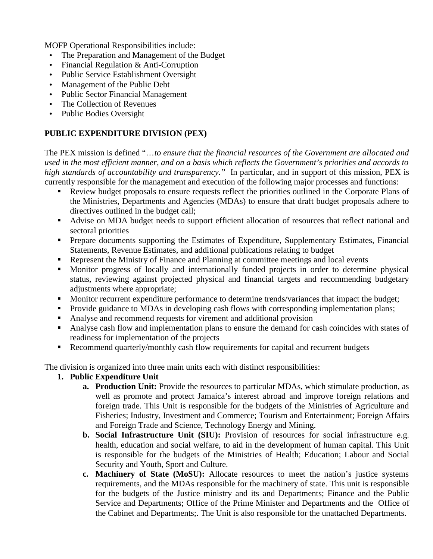MOFP Operational Responsibilities include:

- The Preparation and Management of the Budget
- Financial Regulation & Anti-Corruption
- Public Service Establishment Oversight
- Management of the Public Debt
- Public Sector Financial Management
- The Collection of Revenues
- Public Bodies Oversight

# **PUBLIC EXPENDITURE DIVISION (PEX)**

The PEX mission is defined "…*to ensure that the financial resources of the Government are allocated and used in the most efficient manner, and on a basis which reflects the Government's priorities and accords to high standards of accountability and transparency."* In particular, and in support of this mission, PEX is currently responsible for the management and execution of the following major processes and functions:

- Review budget proposals to ensure requests reflect the priorities outlined in the Corporate Plans of the Ministries, Departments and Agencies (MDAs) to ensure that draft budget proposals adhere to directives outlined in the budget call;
- Advise on MDA budget needs to support efficient allocation of resources that reflect national and sectoral priorities
- **Prepare documents supporting the Estimates of Expenditure, Supplementary Estimates, Financial** Statements, Revenue Estimates, and additional publications relating to budget
- Represent the Ministry of Finance and Planning at committee meetings and local events
- Monitor progress of locally and internationally funded projects in order to determine physical status, reviewing against projected physical and financial targets and recommending budgetary adjustments where appropriate;
- **Monitor recurrent expenditure performance to determine trends/variances that impact the budget;**
- Provide guidance to MDAs in developing cash flows with corresponding implementation plans;
- Analyse and recommend requests for virement and additional provision
- Analyse cash flow and implementation plans to ensure the demand for cash coincides with states of readiness for implementation of the projects
- Recommend quarterly/monthly cash flow requirements for capital and recurrent budgets

The division is organized into three main units each with distinct responsibilities:

- **1. Public Expenditure Unit**
	- **a. Production Unit:** Provide the resources to particular MDAs, which stimulate production, as well as promote and protect Jamaica's interest abroad and improve foreign relations and foreign trade. This Unit is responsible for the budgets of the Ministries of Agriculture and Fisheries; Industry, Investment and Commerce; Tourism and Entertainment; Foreign Affairs and Foreign Trade and Science, Technology Energy and Mining.
	- **b. Social Infrastructure Unit (SIU):** Provision of resources for social infrastructure e.g. health, education and social welfare, to aid in the development of human capital. This Unit is responsible for the budgets of the Ministries of Health; Education; Labour and Social Security and Youth, Sport and Culture.
	- **c. Machinery of State (MoSU):** Allocate resources to meet the nation's justice systems requirements, and the MDAs responsible for the machinery of state. This unit is responsible for the budgets of the Justice ministry and its and Departments; Finance and the Public Service and Departments; Office of the Prime Minister and Departments and the Office of the Cabinet and Departments;. The Unit is also responsible for the unattached Departments.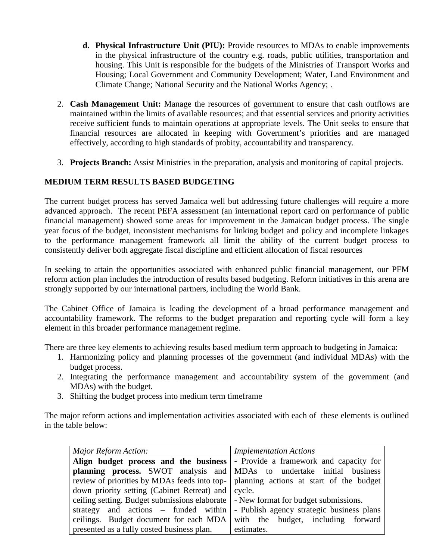- **d. Physical Infrastructure Unit (PIU):** Provide resources to MDAs to enable improvements in the physical infrastructure of the country e.g. roads, public utilities, transportation and housing. This Unit is responsible for the budgets of the Ministries of Transport Works and Housing; Local Government and Community Development; Water, Land Environment and Climate Change; National Security and the National Works Agency; .
- 2. **Cash Management Unit:** Manage the resources of government to ensure that cash outflows are maintained within the limits of available resources; and that essential services and priority activities receive sufficient funds to maintain operations at appropriate levels. The Unit seeks to ensure that financial resources are allocated in keeping with Government's priorities and are managed effectively, according to high standards of probity, accountability and transparency.
- 3. **Projects Branch:** Assist Ministries in the preparation, analysis and monitoring of capital projects.

# **MEDIUM TERM RESULTS BASED BUDGETING**

The current budget process has served Jamaica well but addressing future challenges will require a more advanced approach. The recent PEFA assessment (an international report card on performance of public financial management) showed some areas for improvement in the Jamaican budget process. The single year focus of the budget, inconsistent mechanisms for linking budget and policy and incomplete linkages to the performance management framework all limit the ability of the current budget process to consistently deliver both aggregate fiscal discipline and efficient allocation of fiscal resources

In seeking to attain the opportunities associated with enhanced public financial management, our PFM reform action plan includes the introduction of results based budgeting. Reform initiatives in this arena are strongly supported by our international partners, including the World Bank.

The Cabinet Office of Jamaica is leading the development of a broad performance management and accountability framework. The reforms to the budget preparation and reporting cycle will form a key element in this broader performance management regime.

There are three key elements to achieving results based medium term approach to budgeting in Jamaica:

- 1. Harmonizing policy and planning processes of the government (and individual MDAs) with the budget process.
- 2. Integrating the performance management and accountability system of the government (and MDAs) with the budget.
- 3. Shifting the budget process into medium term timeframe

The major reform actions and implementation activities associated with each of these elements is outlined in the table below:

| Major Reform Action:                                                                   | <b>Implementation Actions</b>             |  |
|----------------------------------------------------------------------------------------|-------------------------------------------|--|
| Align budget process and the business   - Provide a framework and capacity for         |                                           |  |
| <b>planning process.</b> SWOT analysis and MDAs to undertake initial business          |                                           |  |
| review of priorities by MDAs feeds into top-   planning actions at start of the budget |                                           |  |
| down priority setting (Cabinet Retreat) and   cycle.                                   |                                           |  |
| ceiling setting. Budget submissions elaborate   - New format for budget submissions.   |                                           |  |
| strategy and actions – funded within                                                   | - Publish agency strategic business plans |  |
| ceilings. Budget document for each MDA with the budget, including forward              |                                           |  |
| presented as a fully costed business plan.                                             | estimates.                                |  |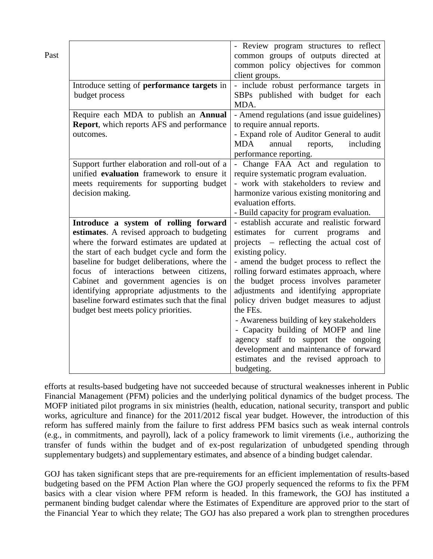| Past |                                                                                                                                                                                                                                                                                                                                                                                                                                                              | - Review program structures to reflect<br>common groups of outputs directed at<br>common policy objectives for common<br>client groups.                                                                                                                                                                                                                                                                                                                                                                                                                                                                              |
|------|--------------------------------------------------------------------------------------------------------------------------------------------------------------------------------------------------------------------------------------------------------------------------------------------------------------------------------------------------------------------------------------------------------------------------------------------------------------|----------------------------------------------------------------------------------------------------------------------------------------------------------------------------------------------------------------------------------------------------------------------------------------------------------------------------------------------------------------------------------------------------------------------------------------------------------------------------------------------------------------------------------------------------------------------------------------------------------------------|
|      | Introduce setting of performance targets in<br>budget process                                                                                                                                                                                                                                                                                                                                                                                                | - include robust performance targets in<br>SBPs published with budget for each<br>MDA.                                                                                                                                                                                                                                                                                                                                                                                                                                                                                                                               |
|      | Require each MDA to publish an Annual<br><b>Report</b> , which reports AFS and performance<br>outcomes.                                                                                                                                                                                                                                                                                                                                                      | - Amend regulations (and issue guidelines)<br>to require annual reports.<br>- Expand role of Auditor General to audit<br><b>MDA</b><br>annual<br>including<br>reports,<br>performance reporting.                                                                                                                                                                                                                                                                                                                                                                                                                     |
|      | Support further elaboration and roll-out of a<br>unified evaluation framework to ensure it<br>meets requirements for supporting budget<br>decision making.                                                                                                                                                                                                                                                                                                   | - Change FAA Act and regulation to<br>require systematic program evaluation.<br>- work with stakeholders to review and<br>harmonize various existing monitoring and<br>evaluation efforts.<br>- Build capacity for program evaluation.                                                                                                                                                                                                                                                                                                                                                                               |
|      | Introduce a system of rolling forward<br>estimates. A revised approach to budgeting<br>where the forward estimates are updated at<br>the start of each budget cycle and form the<br>baseline for budget deliberations, where the<br>focus of interactions between citizens,<br>Cabinet and government agencies is on<br>identifying appropriate adjustments to the<br>baseline forward estimates such that the final<br>budget best meets policy priorities. | - establish accurate and realistic forward<br>estimates for current programs<br>and<br>projects – reflecting the actual cost of<br>existing policy.<br>- amend the budget process to reflect the<br>rolling forward estimates approach, where<br>the budget process involves parameter<br>adjustments and identifying appropriate<br>policy driven budget measures to adjust<br>the FEs.<br>- Awareness building of key stakeholders<br>- Capacity building of MOFP and line<br>agency staff to support the ongoing<br>development and maintenance of forward<br>estimates and the revised approach to<br>budgeting. |

efforts at results-based budgeting have not succeeded because of structural weaknesses inherent in Public Financial Management (PFM) policies and the underlying political dynamics of the budget process. The MOFP initiated pilot programs in six ministries (health, education, national security, transport and public works, agriculture and finance) for the 2011/2012 fiscal year budget. However, the introduction of this reform has suffered mainly from the failure to first address PFM basics such as weak internal controls (e.g., in commitments, and payroll), lack of a policy framework to limit virements (i.e., authorizing the transfer of funds within the budget and of ex-post regularization of unbudgeted spending through supplementary budgets) and supplementary estimates, and absence of a binding budget calendar.

GOJ has taken significant steps that are pre-requirements for an efficient implementation of results-based budgeting based on the PFM Action Plan where the GOJ properly sequenced the reforms to fix the PFM basics with a clear vision where PFM reform is headed. In this framework, the GOJ has instituted a permanent binding budget calendar where the Estimates of Expenditure are approved prior to the start of the Financial Year to which they relate; The GOJ has also prepared a work plan to strengthen procedures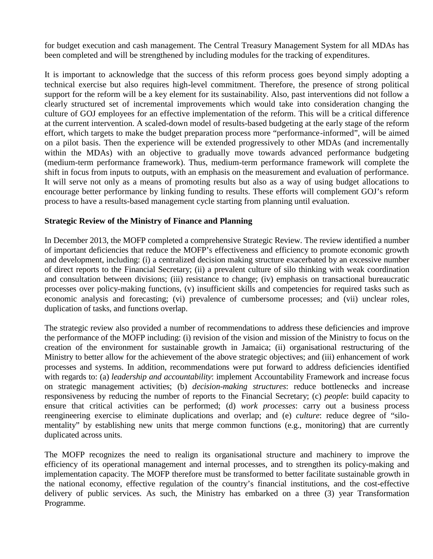for budget execution and cash management. The Central Treasury Management System for all MDAs has been completed and will be strengthened by including modules for the tracking of expenditures.

It is important to acknowledge that the success of this reform process goes beyond simply adopting a technical exercise but also requires high-level commitment. Therefore, the presence of strong political support for the reform will be a key element for its sustainability. Also, past interventions did not follow a clearly structured set of incremental improvements which would take into consideration changing the culture of GOJ employees for an effective implementation of the reform. This will be a critical difference at the current intervention. A scaled-down model of results-based budgeting at the early stage of the reform effort, which targets to make the budget preparation process more "performance-informed", will be aimed on a pilot basis. Then the experience will be extended progressively to other MDAs (and incrementally within the MDAs) with an objective to gradually move towards advanced performance budgeting (medium-term performance framework). Thus, medium-term performance framework will complete the shift in focus from inputs to outputs, with an emphasis on the measurement and evaluation of performance. It will serve not only as a means of promoting results but also as a way of using budget allocations to encourage better performance by linking funding to results. These efforts will complement GOJ's reform process to have a results-based management cycle starting from planning until evaluation.

## **Strategic Review of the Ministry of Finance and Planning**

In December 2013, the MOFP completed a comprehensive Strategic Review. The review identified a number of important deficiencies that reduce the MOFP's effectiveness and efficiency to promote economic growth and development, including: (i) a centralized decision making structure exacerbated by an excessive number of direct reports to the Financial Secretary; (ii) a prevalent culture of silo thinking with weak coordination and consultation between divisions; (iii) resistance to change; (iv) emphasis on transactional bureaucratic processes over policy-making functions, (v) insufficient skills and competencies for required tasks such as economic analysis and forecasting; (vi) prevalence of cumbersome processes; and (vii) unclear roles, duplication of tasks, and functions overlap.

The strategic review also provided a number of recommendations to address these deficiencies and improve the performance of the MOFP including: (i) revision of the vision and mission of the Ministry to focus on the creation of the environment for sustainable growth in Jamaica; (ii) organisational restructuring of the Ministry to better allow for the achievement of the above strategic objectives; and (iii) enhancement of work processes and systems. In addition, recommendations were put forward to address deficiencies identified with regards to: (a) *leadership and accountability*: implement Accountability Framework and increase focus on strategic management activities; (b) *decision-making structures*: reduce bottlenecks and increase responsiveness by reducing the number of reports to the Financial Secretary; (c) *people*: build capacity to ensure that critical activities can be performed; (d) *work processes*: carry out a business process reengineering exercise to eliminate duplications and overlap; and (e) *culture*: reduce degree of "silo mentality" by establishing new units that merge common functions (e.g., monitoring) that are currently duplicated across units.

The MOFP recognizes the need to realign its organisational structure and machinery to improve the efficiency of its operational management and internal processes, and to strengthen its policy-making and implementation capacity. The MOFP therefore must be transformed to better facilitate sustainable growth in the national economy, effective regulation of the country's financial institutions, and the cost-effective delivery of public services. As such, the Ministry has embarked on a three (3) year Transformation Programme.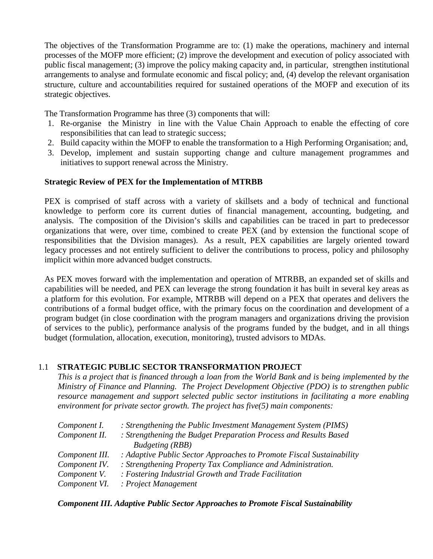The objectives of the Transformation Programme are to: (1) make the operations, machinery and internal processes of the MOFP more efficient; (2) improve the development and execution of policy associated with public fiscal management; (3) improve the policy making capacity and, in particular, strengthen institutional arrangements to analyse and formulate economic and fiscal policy; and, (4) develop the relevant organisation structure, culture and accountabilities required for sustained operations of the MOFP and execution of its strategic objectives.

The Transformation Programme has three (3) components that will:

- 1. Re-organise the Ministry in line with the Value Chain Approach to enable the effecting of core responsibilities that can lead to strategic success;
- 2. Build capacity within the MOFP to enable the transformation to a High Performing Organisation; and,
- 3. Develop, implement and sustain supporting change and culture management programmes and initiatives to support renewal across the Ministry.

## **Strategic Review of PEX for the Implementation of MTRBB**

PEX is comprised of staff across with a variety of skillsets and a body of technical and functional knowledge to perform core its current duties of financial management, accounting, budgeting, and analysis. The composition of the Division's skills and capabilities can be traced in part to predecessor organizations that were, over time, combined to create PEX (and by extension the functional scope of responsibilities that the Division manages). As a result, PEX capabilities are largely oriented toward legacy processes and not entirely sufficient to deliver the contributions to process, policy and philosophy implicit within more advanced budget constructs.

As PEX moves forward with the implementation and operation of MTRBB, an expanded set of skills and capabilities will be needed, and PEX can leverage the strong foundation it has built in several key areas as a platform for this evolution. For example, MTRBB will depend on a PEX that operates and delivers the contributions of a formal budget office, with the primary focus on the coordination and development of a program budget (in close coordination with the program managers and organizations driving the provision of services to the public), performance analysis of the programs funded by the budget, and in all things budget (formulation, allocation, execution, monitoring), trusted advisors to MDAs.

# 1.1 **STRATEGIC PUBLIC SECTOR TRANSFORMATION PROJECT**

*This is a project that is financed through a loan from the World Bank and is being implemented by the Ministry of Finance and Planning. The Project Development Objective (PDO) is to strengthen public resource management and support selected public sector institutions in facilitating a more enabling environment for private sector growth. The project has five(5) main components:*

| Component I.   | : Strengthening the Public Investment Management System (PIMS)       |
|----------------|----------------------------------------------------------------------|
| Component II.  | : Strengthening the Budget Preparation Process and Results Based     |
|                | <b>Budgeting</b> (RBB)                                               |
| Component III. | : Adaptive Public Sector Approaches to Promote Fiscal Sustainability |
| Component IV.  | : Strengthening Property Tax Compliance and Administration.          |
| Component V.   | : Fostering Industrial Growth and Trade Facilitation                 |
| Component VI.  | : Project Management                                                 |

#### *Component III. Adaptive Public Sector Approaches to Promote Fiscal Sustainability*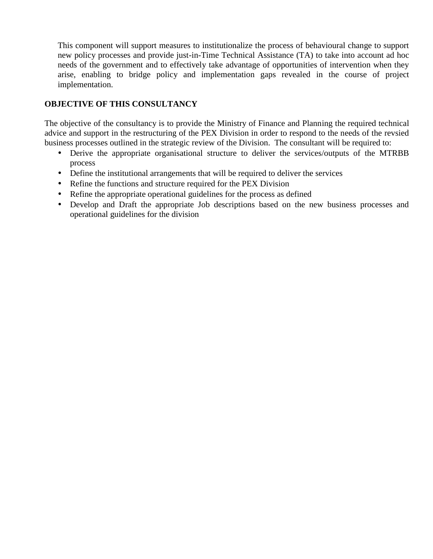This component will support measures to institutionalize the process of behavioural change to support new policy processes and provide just-in-Time Technical Assistance (TA) to take into account ad hoc needs of the government and to effectively take advantage of opportunities of intervention when they arise, enabling to bridge policy and implementation gaps revealed in the course of project implementation.

# **OBJECTIVE OF THIS CONSULTANCY**

The objective of the consultancy is to provide the Ministry of Finance and Planning the required technical advice and support in the restructuring of the PEX Division in order to respond to the needs of the revsied business processes outlined in the strategic review of the Division. The consultant will be required to:

- Derive the appropriate organisational structure to deliver the services/outputs of the MTRBB process
- Define the institutional arrangements that will be required to deliver the services
- Refine the functions and structure required for the PEX Division
- Refine the appropriate operational guidelines for the process as defined
- Develop and Draft the appropriate Job descriptions based on the new business processes and operational guidelines for the division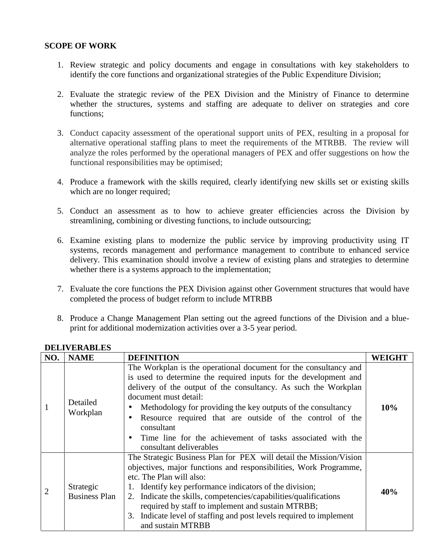#### **SCOPE OF WORK**

- 1. Review strategic and policy documents and engage in consultations with key stakeholders to identify the core functions and organizational strategies of the Public Expenditure Division;
- 2. Evaluate the strategic review of the PEX Division and the Ministry of Finance to determine whether the structures, systems and staffing are adequate to deliver on strategies and core functions;
- 3. Conduct capacity assessment of the operational support units of PEX, resulting in a proposal for alternative operational staffing plans to meet the requirements of the MTRBB. The review will analyze the roles performed by the operational managers of PEX and offer suggestions on how the functional responsibilities may be optimised;
- 4. Produce a framework with the skills required, clearly identifying new skills set or existing skills which are no longer required;
- 5. Conduct an assessment as to how to achieve greater efficiencies across the Division by streamlining, combining or divesting functions, to include outsourcing;
- 6. Examine existing plans to modernize the public service by improving productivity using IT systems, records management and performance management to contribute to enhanced service delivery. This examination should involve a review of existing plans and strategies to determine whether there is a systems approach to the implementation;
- 7. Evaluate the core functions the PEX Division against other Government structures that would have completed the process of budget reform to include MTRBB
- 8. Produce a Change Management Plan setting out the agreed functions of the Division and a blue print for additional modernization activities over a 3-5 year period.

| NO. | <b>NAME</b>                       | <b>DEFINITION</b>                                                                                                                                                                                                                                                                                                                                                                                                                                                   | <b>WEIGHT</b> |
|-----|-----------------------------------|---------------------------------------------------------------------------------------------------------------------------------------------------------------------------------------------------------------------------------------------------------------------------------------------------------------------------------------------------------------------------------------------------------------------------------------------------------------------|---------------|
|     | Detailed<br>Workplan              | The Workplan is the operational document for the consultancy and<br>is used to determine the required inputs for the development and<br>delivery of the output of the consultancy. As such the Workplan<br>document must detail:<br>Methodology for providing the key outputs of the consultancy<br>Resource required that are outside of the control of the<br>consultant<br>Time line for the achievement of tasks associated with the<br>consultant deliverables | 10%           |
|     | Strategic<br><b>Business Plan</b> | The Strategic Business Plan for PEX will detail the Mission/Vision<br>objectives, major functions and responsibilities, Work Programme,<br>etc. The Plan will also:<br>1. Identify key performance indicators of the division;<br>2. Indicate the skills, competencies/capabilities/qualifications<br>required by staff to implement and sustain MTRBB;<br>3. Indicate level of staffing and post levels required to implement<br>and sustain MTRBB                 | 40%           |

#### **DELIVERABLES**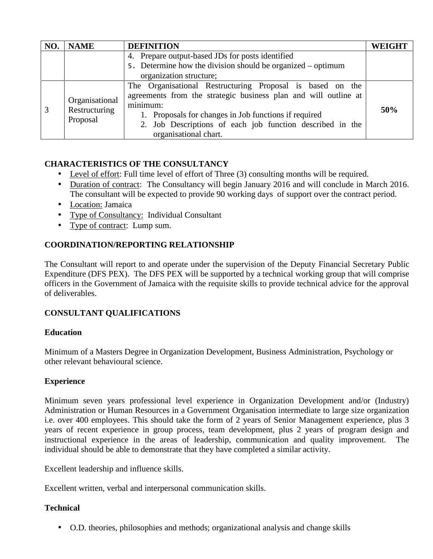| NO. | <b>NAME</b>                                 | <b>DEFINITION</b>                                                                                                                                                                                                                                                                       | <b>WEIGHT</b> |
|-----|---------------------------------------------|-----------------------------------------------------------------------------------------------------------------------------------------------------------------------------------------------------------------------------------------------------------------------------------------|---------------|
|     |                                             | 4. Prepare output-based JDs for posts identified                                                                                                                                                                                                                                        |               |
|     |                                             | 5. Determine how the division should be organized – optimum                                                                                                                                                                                                                             |               |
|     |                                             | organization structure;                                                                                                                                                                                                                                                                 |               |
|     | Organisational<br>Restructuring<br>Proposal | The Organisational Restructuring Proposal is based on the<br>agreements from the strategic business plan and will outline at<br>minimum:<br>1. Proposals for changes in Job functions if required<br>2. Job Descriptions of each job function described in the<br>organisational chart. | 50%           |

# **CHARACTERISTICS OF THE CONSULTANCY**

- Level of effort: Full time level of effort of Three (3) consulting months will be required.
- Duration of contract: The Consultancy will begin January 2016 and will conclude in March 2016. The consultant will be expected to provide 90 working days of support over the contract period.
- Location: Jamaica
- Type of Consultancy: Individual Consultant
- Type of contract: Lump sum.

# **COORDINATION/REPORTING RELATIONSHIP**

The Consultant will report to and operate under the supervision of the Deputy Financial Secretary Public Expenditure (DFS PEX). The DFS PEX will be supported by a technical working group that will comprise officers in the Government of Jamaica with the requisite skills to provide technical advice for the approval of deliverables.

# **CONSULTANT QUALIFICATIONS**

# **Education**

Minimum of a Masters Degree in Organization Development, Business Administration, Psychology or other relevant behavioural science.

# **Experience**

Minimum seven years professional level experience in Organization Development and/or (Industry) Administration or Human Resources in a Government Organisation intermediate to large size organization i.e. over 400 employees. This should take the form of 2 years of Senior Management experience, plus 3 years of recent experience in group process, team development, plus 2 years of program design and instructional experience in the areas of leadership, communication and quality improvement. The individual should be able to demonstrate that they have completed a similar activity.

Excellent leadership and influence skills.

Excellent written, verbal and interpersonal communication skills.

# **Technical**

O.D. theories, philosophies and methods; organizational analysis and change skills